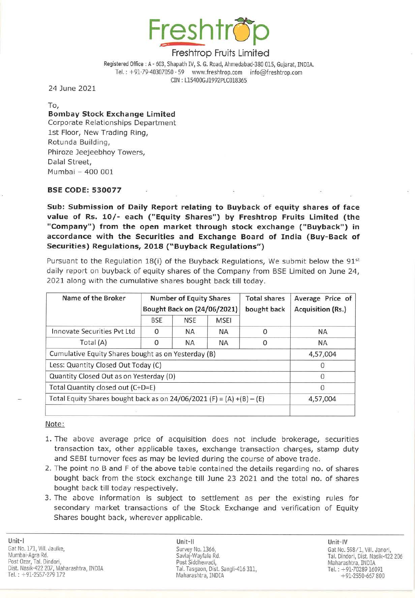

Registered Office: A - 603, Shapath IV, S. G. Road, Ahmedabad-380 015, Gujarat, INDIA. Tel.:  $+91-79-40307050 - 59$  www.freshtrop.com info@freshtrop.com CIN : 115400GJ1992PLC018365

24 June 2021

To,

## **Bombay Stock Exchange Limited** Corporate Relationships Department

1st Floor, New Trading Ring, Rotunda Building, Phiroze Jeejeebhoy Towers, Dalal Street, Mumbai - 400 001

### BSE CODE: 530077

Sub: Submission of Daily Report relating to Buyback of equity shares of face value of Rs. 10/- each ("Equity Shares") by Freshtrop Fruits Limited (the "Company") from the open market through stock exchange ("Buyback") in accordance with the Securities and Exchange Board of India (Buy-Back of Securities) Regulations, 2018 ("Buyback Regulations")

Pursuant to the Regulation 18(i) of the Buyback Regulations, We submit below the  $91<sup>st</sup>$ daily report on buyback of equity shares of the Company from BSE Limited on June 24, 2021 along with the cumulative shares bought back till today.

| Name of the Broker                                                      | <b>Number of Equity Shares</b><br>Bought Back on (24/06/2021) |            |             | <b>Total shares</b><br>bought back | Average Price of<br>Acquisition (Rs.) |
|-------------------------------------------------------------------------|---------------------------------------------------------------|------------|-------------|------------------------------------|---------------------------------------|
|                                                                         | <b>BSE</b>                                                    | <b>NSE</b> | <b>MSEI</b> |                                    |                                       |
| Innovate Securities Pyt Ltd                                             | $\Omega$                                                      | <b>NA</b>  | <b>NA</b>   | $\Omega$                           | <b>NA</b>                             |
| Total $(A)$                                                             | 0                                                             | <b>NA</b>  | <b>NA</b>   | $\Omega$                           | <b>NA</b>                             |
| Cumulative Equity Shares bought as on Yesterday (B)                     |                                                               |            |             |                                    | 4,57,004                              |
| Less: Quantity Closed Out Today (C)                                     |                                                               |            |             |                                    | 0                                     |
| Quantity Closed Out as on Yesterday (D)                                 |                                                               |            |             |                                    | 0                                     |
| Total Quantity closed out (C+D=E)                                       |                                                               |            |             |                                    | $\Omega$                              |
| Total Equity Shares bought back as on $24/06/2021$ (F) = (A) +(B) – (E) |                                                               |            |             |                                    | 4,57,004                              |
|                                                                         |                                                               |            |             |                                    |                                       |

Note:

- 1. The above average price of acquisition does not include brokerage, securities transaction tax, other applicable taxes, exchange transaction charges, stamp duty and SEBI turnover fees as may be levied during the course of above trade.
- 2. The point no B and F of the above table contained the details regarding no. of shares bought back from the stock exchange till June 23 2021 and the total no. of shares bought back till today respectively.
- 3. The above information is subject to settlement as per the existing rules for secondary market transactions of the Stock Exchange and verification of Equity Shares bought back, wherever applicable.

Unit-] Gat No. 171, Vill. Jaulke, Mumbai·Agra Rd. Survey No. 1366, Post Ozar, Tal. Dindori, No. 1999, Naharashtra, INDIA Post Siddhewadi, Naharashtra, INDIA Maharashtra, INDIA Dist. Nasik-422 207, Maharashtra, INOlA Tel. : + 91-2557-279 172

Unit-II Unit-IV Savlaj-Wayfale Rd. Post Siddhewadi, Tal. Tasgaon, Dist. Sangli-416 311. Maharashtra, INDIA

Gat No. 598/1, ViiI. Janori, Tal. Dindori, Dist. Nasik-422 206 Tel.: +91-70289 16091 +91-2550-667800